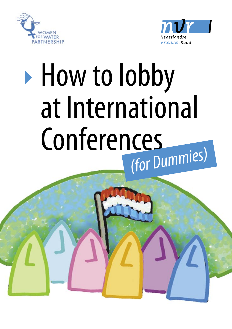



# ▶ How to lobby at International Conferences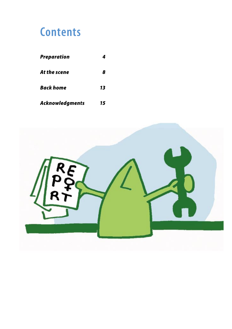### **Contents**

| <b>Preparation</b> |    |
|--------------------|----|
| At the scene       | 8  |
| Back home          | 13 |
| Acknowledgments    | 15 |

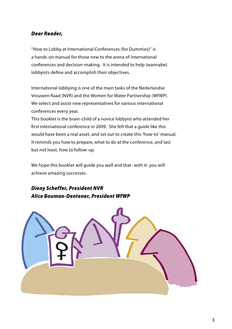#### Dear Reader,

"How to Lobby at International Conferences (for Dummies)" is a hands-on manual for those new to the arena of international conferences and decision-making. It is intended to help (wannabe) lobbyists define and accomplish their objectives.

International lobbying is one of the main tasks of the Nederlandse Vrouwen Raad (NVR) and the Women for Water Partnership (WfWP). We select and assist new representatives for various international conferences every year.

This booklet is the brain-child of a novice lobbyist who attended her first international conference in 2009. She felt that a guide like this would have been a real asset, and set out to create this 'how-to' manual. It reminds you how to prepare, what to do at the conference, and last but not least, how to follow-up.

We hope this booklet will guide you well and that -with it- you will achieve amazing successes.

#### Dieny Scheffer, President NVR Alice Bouman-Dentener, President WfWP

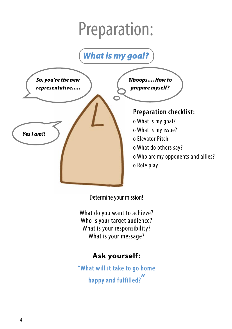### What is my goal?



Determine your mission!

What do you want to achieve? Who is your target audience? What is your responsibility? What is your message?

### **Ask yourself:**

**"What will it take to go home happy and fulfilled? "**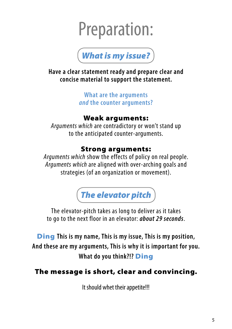

**Have a clear statement ready and prepare clear and concise material to support the statement.**

> **What are the arguments and the counter arguments?**

#### Weak arguments:

Arguments which are contradictory or won't stand up to the anticipated counter-arguments.

### Strong arguments:

Arguments which show the effects of policy on real people. Arguments which are aligned with over-arching goals and strategies (of an organization or movement).

The elevator pitch

The elevator-pitch takes as long to deliver as it takes to go to the next floor in an elevator: **about 29 seconds**.

Ding **This is my name, This is my issue, This is my position, And these are my arguments, This is why it is important for you. What do you think?!?** Ding

### The message is short, clear and convincing.

It should whet their appetite!!!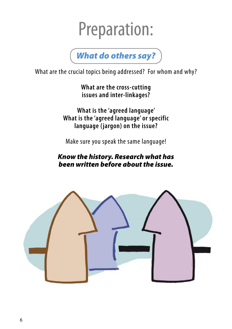

What are the crucial topics being addressed? For whom and why?

**What are the cross-cutting issues and inter-linkages?**

**What is the 'agreed language' What is the 'agreed language' or specific language ( jargon) on the issue?**

Make sure you speak the same language!

#### Know the history. Research what has been written before about the issue.

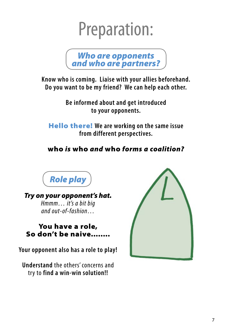

**Know who is coming. Liaise with your allies beforehand. Do you want to be my friend? We can help each other.**

> **Be informed about and get introduced to your opponents.**

Hello there! **We are working on the same issue from different perspectives.**

### who is who and who forms a coalition?



Try on your opponent's hat. Hmmm… it's a bit big and out-of-fashion…

### You have a role, So don't be naive.....

**Your opponent also has a role to play!**

**Understand** the others' concerns and try to **find a win-win solution!!**

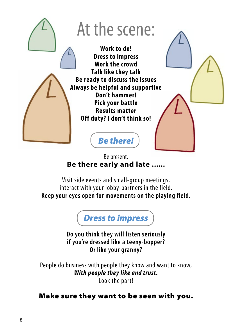

Be present. **Be there early and late ......**

Visit side events and small-group meetings, interact with your lobby-partners in the field. **Keep your eyes open for movements on the playing field.**



**Do you think they will listen seriously if you're dressed like a teeny-bopper? Or like your granny?** 

People do business with people they know and want to know, **With people they like and trust.** Look the part!

### Make sure they want to be seen with you.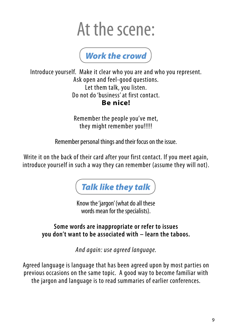

Introduce yourself. Make it clear who you are and who you represent. Ask open and feel-good questions. Let them talk, you listen. Do not do 'business' at first contact. **Be nice!** 

> Remember the people you've met, they might remember you!!!!!!

Remember personal things and their focus on the issue.

Write it on the back of their card after your first contact. If you meet again, introduce yourself in such a way they can remember (assume they will not).



Know the 'jargon' (what do all these words mean for the specialists).

**Some words are inappropriate or refer to issues you don't want to be associated with – learn the taboos.** 

And again: use agreed language.

Agreed language is language that has been agreed upon by most parties on previous occasions on the same topic. A good way to become familiar with the jargon and language is to read summaries of earlier conferences.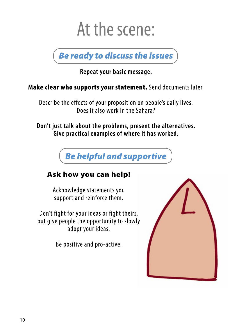Be ready to discuss the issues

**Repeat your basic message.**

Make clear who supports your statement. Send documents later.

Describe the effects of your proposition on people's daily lives. Does it also work in the Sahara?

**Don't just talk about the problems, present the alternatives. Give practical examples of where it has worked.** 



### Ask how you can help!

Acknowledge statements you support and reinforce them.

Don't fight for your ideas or fight theirs, but give people the opportunity to slowly adopt your ideas.

Be positive and pro-active.

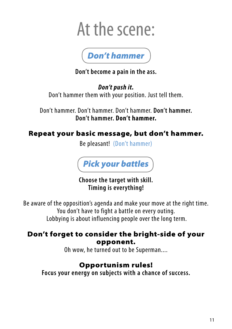

**Don't become a pain in the ass.**

**Don't push it.** Don't hammer them with your position. Just tell them.

Don't hammer. Don't hammer. Don't hammer. **Don't hammer. Don't hammer. Don't hammer.**

### Repeat your basic message, but don't hammer.

Be pleasant! (Don't hammer)



**Choose the target with skill. Timing is everything!**

Be aware of the opposition's agenda and make your move at the right time. You don't have to fight a battle on every outing. Lobbying is about influencing people over the long term.

### Don't forget to consider the bright-side of your opponent.

Oh wow, he turned out to be Superman....

### Opportunism rules!

**Focus your energy on subjects with a chance of success.**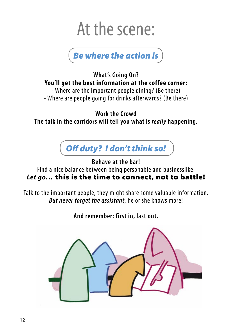

**What's Going On? You'll get the best information at the coffee corner:**

- Where are the important people dining? (Be there) - Where are people going for drinks afterwards? (Be there)

**Work the Crowd The talk in the corridors will tell you what is really happening.**



**Behave at the bar!**

Find a nice balance between being personable and businesslike. **Let go…** this is the time to connect, not to battle!

Talk to the important people, they might share some valuable information. **But never forget the assistant**, he or she knows more!

**And remember: first in, last out.**

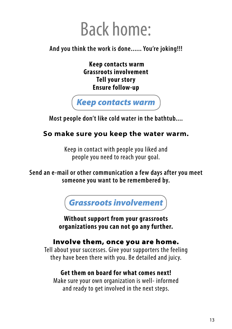### Back home:

### **And you think the work is done...... You're joking!!!**

 **Keep contacts warm Grassroots involvement Tell your story Ensure follow-up**



**Most people don't like cold water in the bathtub....**

### **So make sure you keep the water warm.**

Keep in contact with people you liked and people you need to reach your goal.

#### **Send an e-mail or other communication a few days after you meet someone you want to be remembered by.**

Grassroots involvement

**Without support from your grassroots organizations you can not go any further.** 

### Involve them, once you are home.

Tell about your successes. Give your supporters the feeling they have been there with you. Be detailed and juicy.

#### **Get them on board for what comes next!**

Make sure your own organization is well- informed and ready to get involved in the next steps.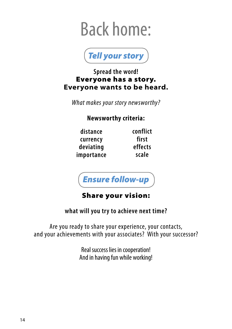## Back home:



#### **Spread the word!** Everyone has a story. **Everyone wants to be heard.**

What makes your story newsworthy?

#### **Newsworthy criteria:**

| distance   |
|------------|
| currency   |
| deviating  |
| importance |

**conflict first effects scale**



### Share your vision:

#### **what will you try to achieve next time?**

Are you ready to share your experience, your contacts, and your achievements with your associates? With your successor?

> Real success lies in cooperation! And in having fun while working!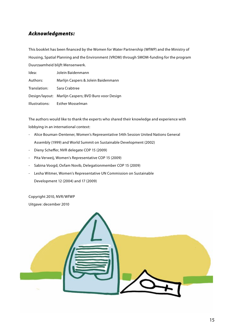#### Acknowledgments:

This booklet has been financed by the Women for Water Partnership (WfWP) and the Ministry of Housing, Spatial Planning and the Environment (VROM) through SMOM-funding for the program Duurzaamheid blijft Mensenwerk.

| Idea:          | Jolein Baidenmann                                    |
|----------------|------------------------------------------------------|
| Authors:       | Marlijn Caspers & Jolein Baidenmann                  |
| Translation:   | Sara Crabtree                                        |
|                | Design/layout: Marlijn Caspers; BVD Buro voor Design |
| Illustrations: | <b>Esther Mosselman</b>                              |

The authors would like to thank the experts who shared their knowledge and experience with lobbying in an international context:

- Alice Bouman-Dentener, Women's Representative 54th Session United Nations General Assembly (1999) and World Summit on Sustainable Development (2002)
- Dieny Scheffer, NVR delegate COP 15 (2009)
- Pita Verweij, Women's Representative COP 15 (2009)
- Sabina Voogd, Oxfam Novib, Delegationmember COP 15 (2009)
- Lesha Witmer, Women's Representative UN Commission on Sustainable Development 12 (2004) and 17 (2009)

Copyright 2010, NVR/WfWP Uitgave: december 2010